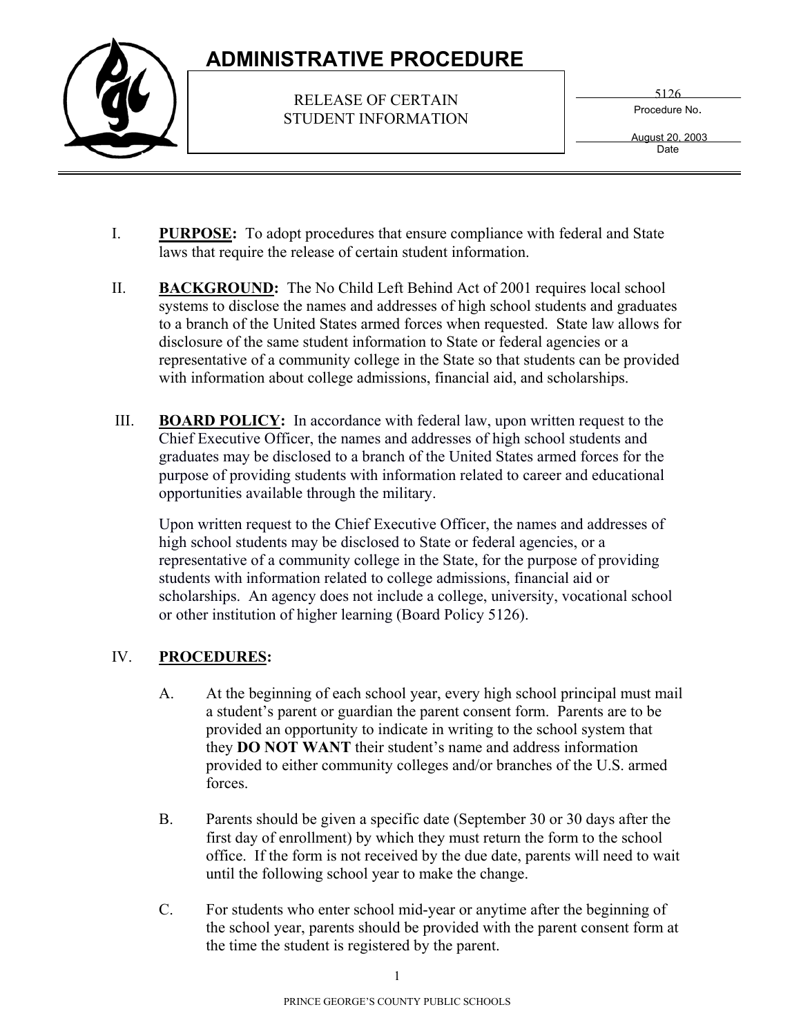## **ADMINISTRATIVE PROCEDURE**



RELEASE OF CERTAIN STUDENT INFORMATION 5126

Procedure No.

 August 20, 2003 Date

- I. **PURPOSE:** To adopt procedures that ensure compliance with federal and State laws that require the release of certain student information.
- II. **BACKGROUND:** The No Child Left Behind Act of 2001 requires local school systems to disclose the names and addresses of high school students and graduates to a branch of the United States armed forces when requested. State law allows for disclosure of the same student information to State or federal agencies or a representative of a community college in the State so that students can be provided with information about college admissions, financial aid, and scholarships.
- III. **BOARD POLICY:** In accordance with federal law, upon written request to the Chief Executive Officer, the names and addresses of high school students and graduates may be disclosed to a branch of the United States armed forces for the purpose of providing students with information related to career and educational opportunities available through the military.

Upon written request to the Chief Executive Officer, the names and addresses of high school students may be disclosed to State or federal agencies, or a representative of a community college in the State, for the purpose of providing students with information related to college admissions, financial aid or scholarships. An agency does not include a college, university, vocational school or other institution of higher learning (Board Policy 5126).

## IV. **PROCEDURES:**

- A. At the beginning of each school year, every high school principal must mail a student's parent or guardian the parent consent form. Parents are to be provided an opportunity to indicate in writing to the school system that they **DO NOT WANT** their student's name and address information provided to either community colleges and/or branches of the U.S. armed forces.
- B. Parents should be given a specific date (September 30 or 30 days after the first day of enrollment) by which they must return the form to the school office. If the form is not received by the due date, parents will need to wait until the following school year to make the change.
- C. For students who enter school mid-year or anytime after the beginning of the school year, parents should be provided with the parent consent form at the time the student is registered by the parent.